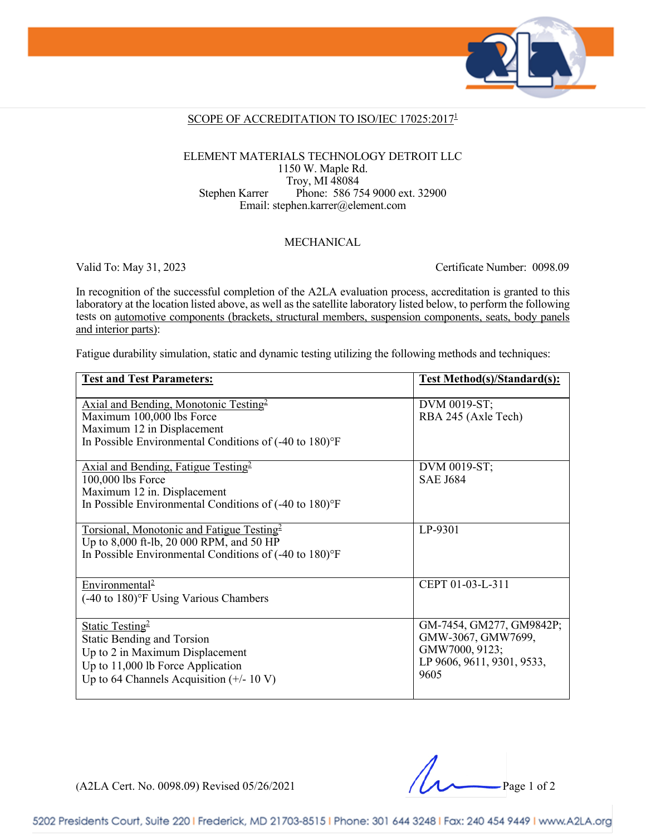

#### SCOPE OF ACCREDITATION TO ISO/IEC 17025:2017<sup>1</sup>

#### ELEMENT MATERIALS TECHNOLOGY DETROIT LLC 1150 W. Maple Rd. Troy, MI 48084 Stephen Karrer Phone: 586 754 9000 ext. 32900 Email: stephen.karrer@element.com

#### MECHANICAL

Valid To: May 31, 2023 Certificate Number: 0098.09

In recognition of the successful completion of the A2LA evaluation process, accreditation is granted to this laboratory at the location listed above, as well as the satellite laboratory listed below, to perform the following tests on automotive components (brackets, structural members, suspension components, seats, body panels and interior parts):

Fatigue durability simulation, static and dynamic testing utilizing the following methods and techniques:

| <b>Test and Test Parameters:</b>                                                                                                                                                         | <b>Test Method(s)/Standard(s):</b>                                                                     |
|------------------------------------------------------------------------------------------------------------------------------------------------------------------------------------------|--------------------------------------------------------------------------------------------------------|
| Axial and Bending, Monotonic Testing <sup>2</sup><br>Maximum 100,000 lbs Force<br>Maximum 12 in Displacement<br>In Possible Environmental Conditions of (-40 to 180)°F                   | DVM 0019-ST;<br>RBA 245 (Axle Tech)                                                                    |
| Axial and Bending, Fatigue Testing <sup>2</sup><br>100,000 lbs Force<br>Maximum 12 in. Displacement<br>In Possible Environmental Conditions of (-40 to 180)°F                            | DVM 0019-ST;<br><b>SAE J684</b>                                                                        |
| Torsional, Monotonic and Fatigue Testing <sup>2</sup><br>Up to 8,000 ft-lb, 20 000 RPM, and 50 HP<br>In Possible Environmental Conditions of (-40 to 180)°F                              | LP-9301                                                                                                |
| Environmental <sup>2</sup><br>$(-40 \text{ to } 180)$ <sup>o</sup> F Using Various Chambers                                                                                              | CEPT 01-03-L-311                                                                                       |
| Static Testing <sup>2</sup><br><b>Static Bending and Torsion</b><br>Up to 2 in Maximum Displacement<br>Up to $11,000$ lb Force Application<br>Up to 64 Channels Acquisition $(+/- 10 V)$ | GM-7454, GM277, GM9842P;<br>GMW-3067, GMW7699,<br>GMW7000, 9123;<br>LP 9606, 9611, 9301, 9533,<br>9605 |

(A2LA Cert. No. 0098.09) Revised 05/26/2021 Page 1 of 2

5202 Presidents Court, Suite 220 | Frederick, MD 21703-8515 | Phone: 301 644 3248 | Fax: 240 454 9449 | www.A2LA.org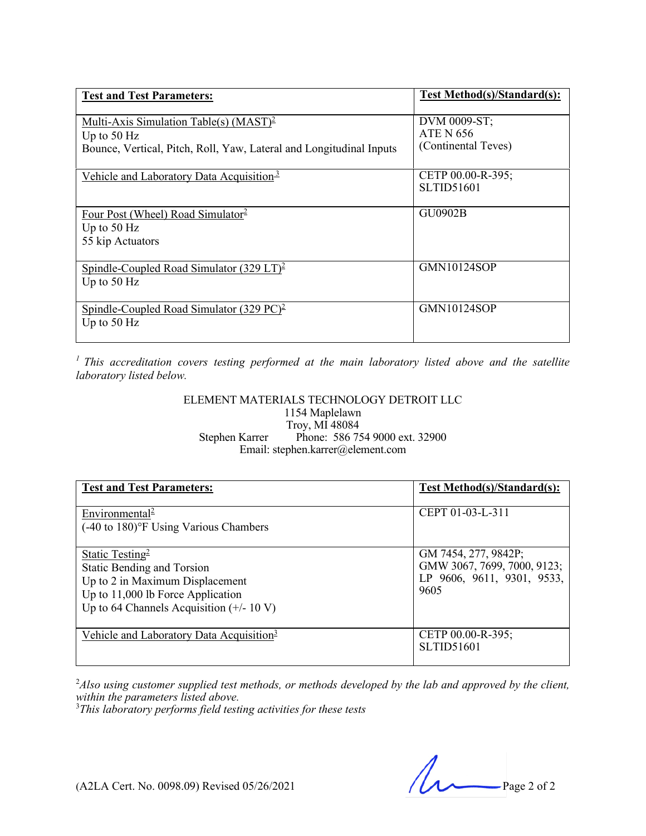| <b>Test and Test Parameters:</b>                                                                                                  | Test Method(s)/Standard(s):                             |
|-----------------------------------------------------------------------------------------------------------------------------------|---------------------------------------------------------|
| Multi-Axis Simulation Table(s) $(MAST)^2$<br>Up to $50$ Hz<br>Bounce, Vertical, Pitch, Roll, Yaw, Lateral and Longitudinal Inputs | DVM 0009-ST;<br><b>ATE N 656</b><br>(Continental Teves) |
| Vehicle and Laboratory Data Acquisition <sup>3</sup>                                                                              | CETP 00.00-R-395;<br><b>SLTID51601</b>                  |
| Four Post (Wheel) Road Simulator <sup>2</sup><br>Up to $50$ Hz<br>55 kip Actuators                                                | <b>GU0902B</b>                                          |
| Spindle-Coupled Road Simulator $(329 \text{ LT})^2$<br>Up to $50$ Hz                                                              | <b>GMN10124SOP</b>                                      |
| Spindle-Coupled Road Simulator $(329 \text{ PC})^2$<br>Up to $50$ Hz                                                              | <b>GMN10124SOP</b>                                      |

*1 This accreditation covers testing performed at the main laboratory listed above and the satellite laboratory listed below.*

#### ELEMENT MATERIALS TECHNOLOGY DETROIT LLC 1154 Maplelawn Troy, MI 48084 Stephen Karrer Phone: 586 754 9000 ext. 32900 Email: stephen.karrer@element.com

| <b>Test and Test Parameters:</b>                                                                                                                                                         | Test Method(s)/Standard(s):                                                               |
|------------------------------------------------------------------------------------------------------------------------------------------------------------------------------------------|-------------------------------------------------------------------------------------------|
| Environmental <sup>2</sup><br>(-40 to 180)°F Using Various Chambers                                                                                                                      | CEPT 01-03-L-311                                                                          |
| Static Testing <sup>2</sup><br><b>Static Bending and Torsion</b><br>Up to 2 in Maximum Displacement<br>Up to $11,000$ lb Force Application<br>Up to 64 Channels Acquisition $(+/- 10 V)$ | GM 7454, 277, 9842P;<br>GMW 3067, 7699, 7000, 9123;<br>LP 9606, 9611, 9301, 9533,<br>9605 |
| Vehicle and Laboratory Data Acquisition <sup>3</sup>                                                                                                                                     | CETP 00.00-R-395;<br><b>SLTID51601</b>                                                    |

2 *Also using customer supplied test methods, or methods developed by the lab and approved by the client,*  within the parameters listed above.

*This laboratory performs field testing activities for these tests*

(A2LA Cert. No. 0098.09) Revised 05/26/2021 Page 2 of 2